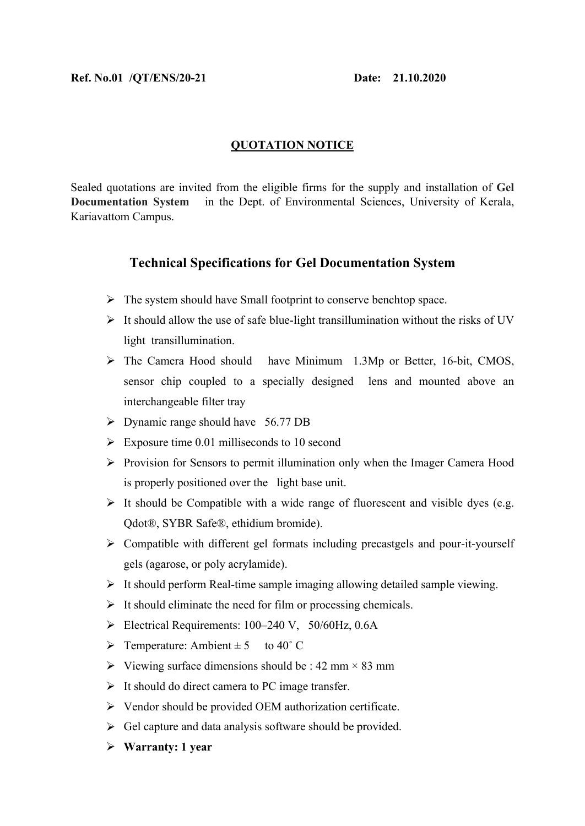## **QUOTATION NOTICE**

Sealed quotations are invited from the eligible firms for the supply and installation of **Gel Documentation System** in the Dept. of Environmental Sciences, University of Kerala, Kariavattom Campus.

## **Technical Specifications for Gel Documentation System**

- $\triangleright$  The system should have Small footprint to conserve benchtop space.
- $\triangleright$  It should allow the use of safe blue-light transillumination without the risks of UV light transillumination.
- The Camera Hood should have Minimum 1.3Mp or Better, 16-bit, CMOS, sensor chip coupled to a specially designed lens and mounted above an interchangeable filter tray
- Dynamic range should have 56.77 DB
- $\triangleright$  Exposure time 0.01 milliseconds to 10 second
- $\triangleright$  Provision for Sensors to permit illumination only when the Imager Camera Hood is properly positioned over the light base unit.
- $\triangleright$  It should be Compatible with a wide range of fluorescent and visible dyes (e.g. Qdot®, SYBR Safe®, ethidium bromide).
- $\triangleright$  Compatible with different gel formats including precastgels and pour-it-yourself gels (agarose, or poly acrylamide).
- $\triangleright$  It should perform Real-time sample imaging allowing detailed sample viewing.
- $\triangleright$  It should eliminate the need for film or processing chemicals.
- $\triangleright$  Electrical Requirements: 100–240 V, 50/60Hz, 0.6A
- $\triangleright$  Temperature: Ambient  $\pm$  5 to 40° C
- $\triangleright$  Viewing surface dimensions should be : 42 mm  $\times$  83 mm
- $\triangleright$  It should do direct camera to PC image transfer.
- $\triangleright$  Vendor should be provided OEM authorization certificate.
- $\triangleright$  Gel capture and data analysis software should be provided.
- **Warranty: 1 year**